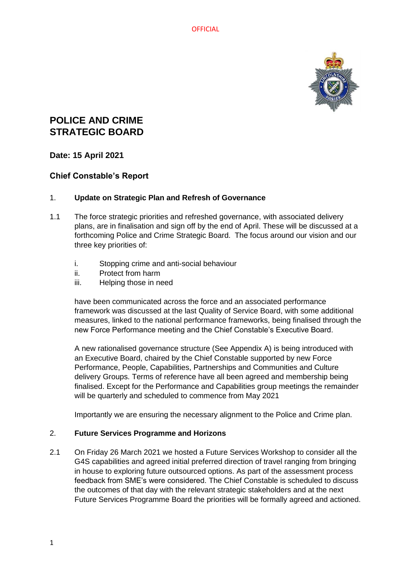

# **POLICE AND CRIME STRATEGIC BOARD**

## **Date: 15 April 2021**

# **Chief Constable's Report**

#### 1. **Update on Strategic Plan and Refresh of Governance**

- 1.1 The force strategic priorities and refreshed governance, with associated delivery plans, are in finalisation and sign off by the end of April. These will be discussed at a forthcoming Police and Crime Strategic Board. The focus around our vision and our three key priorities of:
	- i. Stopping crime and anti-social behaviour
	- ii. Protect from harm
	- iii. Helping those in need

have been communicated across the force and an associated performance framework was discussed at the last Quality of Service Board, with some additional measures, linked to the national performance frameworks, being finalised through the new Force Performance meeting and the Chief Constable's Executive Board.

A new rationalised governance structure (See Appendix A) is being introduced with an Executive Board, chaired by the Chief Constable supported by new Force Performance, People, Capabilities, Partnerships and Communities and Culture delivery Groups. Terms of reference have all been agreed and membership being finalised. Except for the Performance and Capabilities group meetings the remainder will be quarterly and scheduled to commence from May 2021

Importantly we are ensuring the necessary alignment to the Police and Crime plan.

#### 2. **Future Services Programme and Horizons**

2.1 On Friday 26 March 2021 we hosted a Future Services Workshop to consider all the G4S capabilities and agreed initial preferred direction of travel ranging from bringing in house to exploring future outsourced options. As part of the assessment process feedback from SME's were considered. The Chief Constable is scheduled to discuss the outcomes of that day with the relevant strategic stakeholders and at the next Future Services Programme Board the priorities will be formally agreed and actioned.